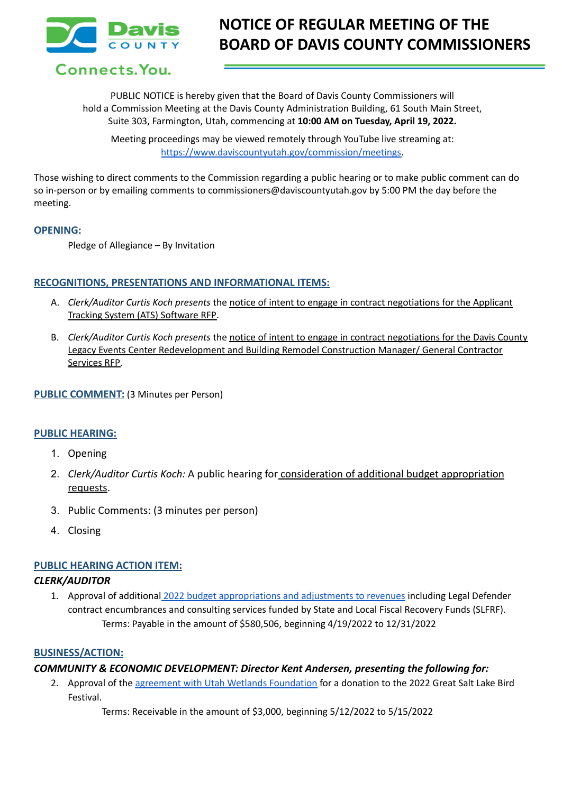

Connects. You.

PUBLIC NOTICE is hereby given that the Board of Davis County Commissioners will hold a Commission Meeting at the Davis County Administration Building, 61 South Main Street, Suite 303, Farmington, Utah, commencing at **10:00 AM on Tuesday, April 19, 2022.**

Meeting proceedings may be viewed remotely through YouTube live streaming at: [https://www.daviscountyutah.gov/commission/meetings.](https://www.daviscountyutah.gov/commission/meetings)

Those wishing to direct comments to the Commission regarding a public hearing or to make public comment can do so in-person or by emailing comments to commissioners@daviscountyutah.gov by 5:00 PM the day before the meeting.

## **OPENING:**

Pledge of Allegiance – By Invitation

## **RECOGNITIONS, PRESENTATIONS AND INFORMATIONAL ITEMS:**

- A. *Clerk/Auditor Curtis Koch presents* the notice of intent to engage in contract negotiations for the Applicant Tracking System (ATS) Software RFP.
- B. *Clerk/Auditor Curtis Koch presents* the notice of intent to engage in contract negotiations for the Davis County Legacy Events Center Redevelopment and Building Remodel Construction Manager/ General Contractor Services RFP.

### **PUBLIC COMMENT:** (3 Minutes per Person)

### **PUBLIC HEARING:**

- 1. Opening
- 2. *Clerk/Auditor Curtis Koch:* A public hearing for consideration of additional budget appropriation requests.
- 3. Public Comments: (3 minutes per person)
- 4. Closing

### **PUBLIC HEARING ACTION ITEM:**

### *CLERK/AUDITOR*

1. Approval of additional 2022 budget [appropriations](https://drive.google.com/open?id=1WCZez_UakAHUxaQOLOu5LTwQX8Gom7wi&authuser=sbills%40co.davis.ut.us&usp=drive_fs) and adjustments to revenues including Legal Defender contract encumbrances and consulting services funded by State and Local Fiscal Recovery Funds (SLFRF). Terms: Payable in the amount of \$580,506, beginning 4/19/2022 to 12/31/2022

### **BUSINESS/ACTION:**

## *COMMUNITY & ECONOMIC DEVELOPMENT: Director Kent Andersen, presenting the following for:*

2. Approval of the agreement with Utah Wetlands [Foundation](https://drive.google.com/file/d/1Kf1LaTRhnmdMh_usYfATJb0qrNNaHkZf/view?usp=sharing) for a donation to the 2022 Great Salt Lake Bird Festival.

Terms: Receivable in the amount of \$3,000, beginning 5/12/2022 to 5/15/2022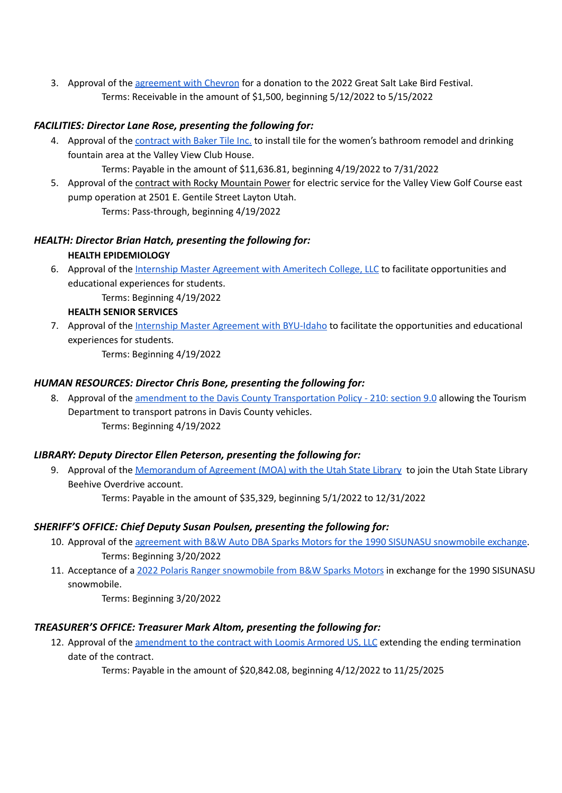3. Approval of the [agreement](https://drive.google.com/file/d/1T6le5bRsDi8Za_emnZRrbGRQIkxTft6U/view?usp=sharing) with Chevron for a donation to the 2022 Great Salt Lake Bird Festival. Terms: Receivable in the amount of \$1,500, beginning 5/12/2022 to 5/15/2022

## *FACILITIES: Director Lane Rose, presenting the following for:*

- 4. Approval of the [contract](https://drive.google.com/file/d/11ca-GJTNHmMSEJdOgRW6axNlG1RwBIkB/view?usp=sharing) with Baker Tile Inc. to install tile for the women's bathroom remodel and drinking fountain area at the Valley View Club House. Terms: Payable in the amount of \$11,636.81, beginning 4/19/2022 to 7/31/2022
- 5. Approval of the contract with Rocky Mountain Power for electric service for the Valley View Golf Course east pump operation at 2501 E. Gentile Street Layton Utah.

# Terms: Pass-through, beginning 4/19/2022

# *HEALTH: Director Brian Hatch, presenting the following for:* **HEALTH EPIDEMIOLOGY**

6. Approval of the Internship Master [Agreement](https://drive.google.com/file/d/10F4gqm1NvGDYa960elmokorlVDIgN6FB/view?usp=sharing) with Ameritech College, LLC to facilitate opportunities and educational experiences for students. Terms: Beginning 4/19/2022

## **HEALTH SENIOR SERVICES**

7. Approval of the Internship Master [Agreement](https://drive.google.com/file/d/1PgqyTdDI-AoEywQJv4u0YljTlfpl95Qq/view?usp=sharing) with BYU-Idaho to facilitate the opportunities and educational experiences for students. Terms: Beginning 4/19/2022

## *HUMAN RESOURCES: Director Chris Bone, presenting the following for:*

8. Approval of the amendment to the Davis County [Transportation](https://drive.google.com/file/d/16D9gt3VNZyXUYwXTl-ERZZDlNFfTA2Oa/view?usp=sharing) Policy - 210: section 9.0 allowing the Tourism Department to transport patrons in Davis County vehicles. Terms: Beginning 4/19/2022

## *LIBRARY: Deputy Director Ellen Peterson, presenting the following for:*

9. Approval of the [Memorandum](https://drive.google.com/file/d/1T6ZzBHCAh2BtDdqdxbtiMUmaqQmufUCE/view?usp=sharing) of Agreement (MOA) with the Utah State Library to join the Utah State Library Beehive Overdrive account. Terms: Payable in the amount of \$35,329, beginning 5/1/2022 to 12/31/2022

## *SHERIFF'S OFFICE: Chief Deputy Susan Poulsen, presenting the following for:*

- 10. Approval of the agreement with B&W Auto DBA Sparks Motors for the 1990 SISUNASU [snowmobile](https://drive.google.com/file/d/1CGecKBYyztEeMcl-Q9u6ORbGtOUe5oWQ/view?usp=sharing) exchange. Terms: Beginning 3/20/2022
- 11. Acceptance of a 2022 Polaris Ranger [snowmobile](https://drive.google.com/file/d/1QIMvcaqoaw-CDk7aRo5FRDDO_yD8YT6q/view?usp=sharing) from B&W Sparks Motors in exchange for the 1990 SISUNASU snowmobile.

Terms: Beginning 3/20/2022

# *TREASURER'S OFFICE: Treasurer Mark Altom, presenting the following for:*

12. Approval of the [amendment](https://drive.google.com/file/d/1GcCdiZAu6L1L9AytNdiOprS2BeEA6B4L/view?usp=sharing) to the contract with Loomis Armored US, LLC extending the ending termination date of the contract.

Terms: Payable in the amount of \$20,842.08, beginning 4/12/2022 to 11/25/2025